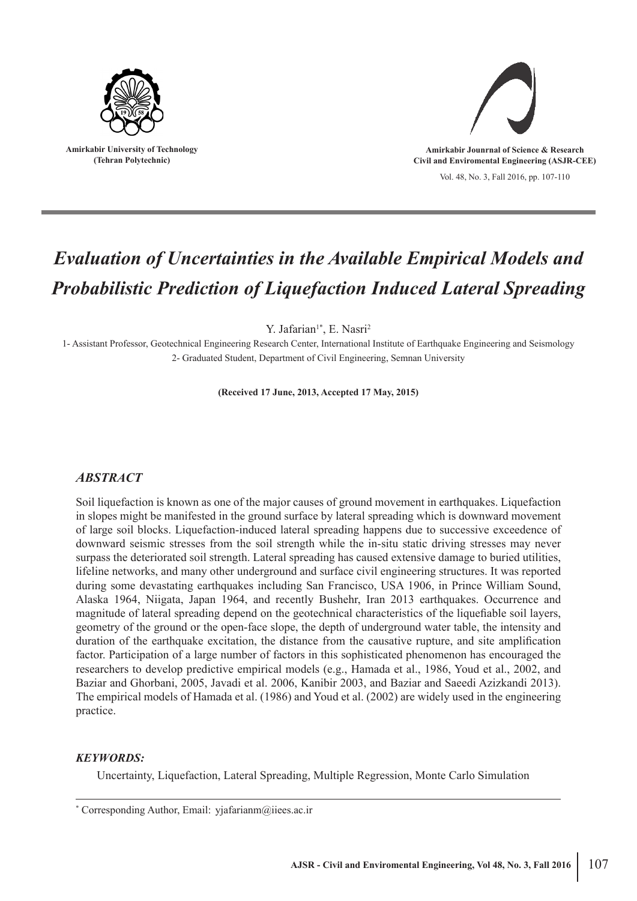

**Amirkabir University of Technology (Tehran Polytechnic)**



Vol. 48, No. 3, Fall 2016, pp. 107-110

# *Evaluation of Uncertainties in the Available Empirical Models and Probabilistic Prediction of Liquefaction Induced Lateral Spreading*

Y. Jafarian<sup>1\*</sup>, E. Nasri<sup>2</sup>

1- Assistant Professor, Geotechnical Engineering Research Center, International Institute of Earthquake Engineering and Seismology 2- Graduated Student, Department of Civil Engineering, Semnan University

**(Received 17 June, 2013, Accepted 17 May, 2015)**

## *ABSTRACT*

Soil liquefaction is known as one of the major causes of ground movement in earthquakes. Liquefaction in slopes might be manifested in the ground surface by lateral spreading which is downward movement of large soil blocks. Liquefaction-induced lateral spreading happens due to successive exceedence of downward seismic stresses from the soil strength while the in-situ static driving stresses may never surpass the deteriorated soil strength. Lateral spreading has caused extensive damage to buried utilities, lifeline networks, and many other underground and surface civil engineering structures. It was reported during some devastating earthquakes including San Francisco, USA 1906, in Prince William Sound, Alaska 1964, Niigata, Japan 1964, and recently Bushehr, Iran 2013 earthquakes. Occurrence and magnitude of lateral spreading depend on the geotechnical characteristics of the liquefiable soil layers, geometry of the ground or the open-face slope, the depth of underground water table, the intensity and duration of the earthquake excitation, the distance from the causative rupture, and site amplification factor. Participation of a large number of factors in this sophisticated phenomenon has encouraged the researchers to develop predictive empirical models (e.g., Hamada et al., 1986, Youd et al., 2002, and Baziar and Ghorbani, 2005, Javadi et al. 2006, Kanibir 2003, and Baziar and Saeedi Azizkandi 2013). The empirical models of Hamada et al. (1986) and Youd et al. (2002) are widely used in the engineering practice.

## *KEYWORDS:*

Uncertainty, Liquefaction, Lateral Spreading, Multiple Regression, Monte Carlo Simulation

<sup>\*</sup> Corresponding Author, Email: yjafarianm@iiees.ac.ir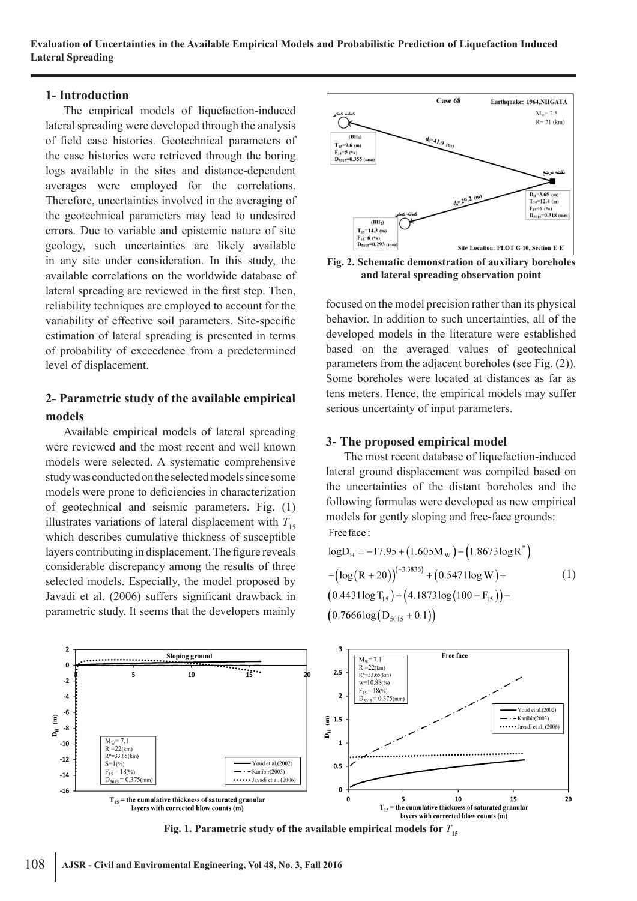**Evaluation of Uncertainties in the Available Empirical Models and Probabilistic Prediction of Liquefaction Induced Lateral Spreading**

#### **1- Introduction**

The empirical models of liquefaction-induced lateral spreading were developed through the analysis of field case histories. Geotechnical parameters of the case histories were retrieved through the boring logs available in the sites and distance-dependent averages were employed for the correlations. Therefore, uncertainties involved in the averaging of the geotechnical parameters may lead to undesired errors. Due to variable and epistemic nature of site geology, such uncertainties are likely available in any site under consideration. In this study, the available correlations on the worldwide database of lateral spreading are reviewed in the first step. Then, reliability techniques are employed to account for the variability of effective soil parameters. Site-specific estimation of lateral spreading is presented in terms of probability of exceedence from a predetermined level of displacement.

# **2- Parametric study of the available empirical models**

Available empirical models of lateral spreading were reviewed and the most recent and well known models were selected. A systematic comprehensive study was conducted on the selected models since some models were prone to deficiencies in characterization of geotechnical and seismic parameters. Fig. (1) illustrates variations of lateral displacement with  $T_{15}$ which describes cumulative thickness of susceptible layers contributing in displacement. The figure reveals considerable discrepancy among the results of three selected models. Especially, the model proposed by Javadi et al. (2006) suffers significant drawback in parametric study. It seems that the developers mainly



**Fig. 2. Schematic demonstration of auxiliary boreholes and lateral spreading observation point**

focused on the model precision rather than its physical behavior. In addition to such uncertainties, all of the developed models in the literature were established based on the averaged values of geotechnical parameters from the adjacent boreholes (see Fig. (2)). Some boreholes were located at distances as far as tens meters. Hence, the empirical models may suffer serious uncertainty of input parameters.

### **3- The proposed empirical model**

The most recent database of liquefaction-induced lateral ground displacement was compiled based on the uncertainties of the distant boreholes and the following formulas were developed as new empirical models for gently sloping and free-face grounds: Free face:

$$
logD_{H} = -17.95 + (1.605M_{W}) - (1.8673log R^{*})
$$
  
-(log(R + 20))<sup>(-3.3836)</sup> + (0.5471log W) + (0.4431log T<sub>15</sub>) + (4.1873log(100 – F<sub>15</sub>)) –  
(0.7666log(D<sub>5015</sub> + 0.1))



**Fig. 1. Parametric study of the available empirical models for**  $T_{15}$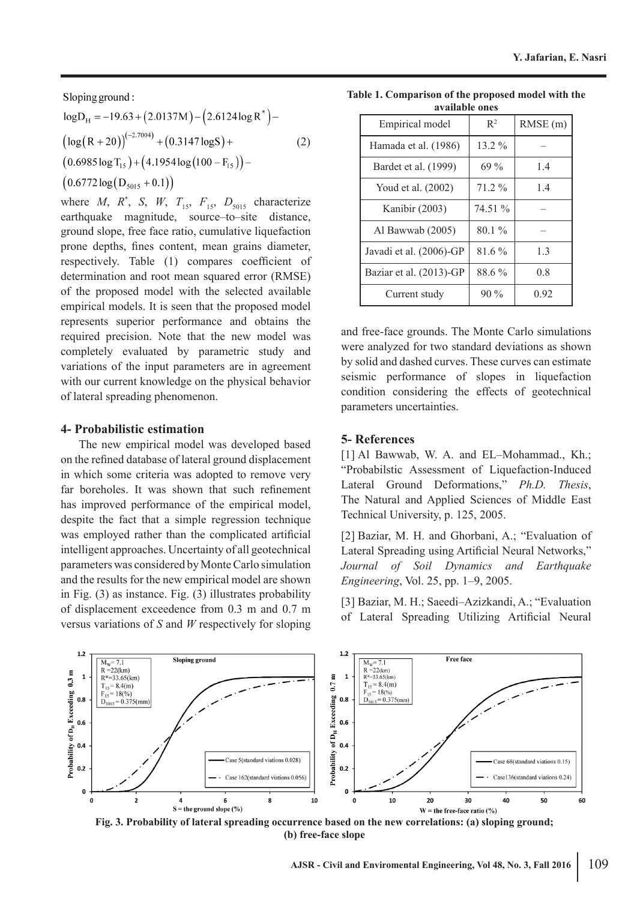Sloping ground:

$$
logD_{H} = -19.63 + (2.0137M) - (2.6124 log R*) -(log (R + 20))(-2.7004) + (0.3147 log S) +(0.6985 log T15) + (4.1954 log (100 – F15)) –(0.6772 log (D5015 + 0.1))
$$
 (2)

where *M*,  $R^*$ , *S*, *W*,  $T_{15}$ ,  $F_{15}$ ,  $D_{5015}$  characterize earthquake magnitude, source–to–site distance, ground slope, free face ratio, cumulative liquefaction prone depths, fines content, mean grains diameter, respectively. Table (1) compares coefficient of determination and root mean squared error (RMSE) of the proposed model with the selected available empirical models. It is seen that the proposed model represents superior performance and obtains the required precision. Note that the new model was completely evaluated by parametric study and variations of the input parameters are in agreement with our current knowledge on the physical behavior of lateral spreading phenomenon.

#### **4- Probabilistic estimation**

The new empirical model was developed based on the refined database of lateral ground displacement in which some criteria was adopted to remove very far boreholes. It was shown that such refinement has improved performance of the empirical model, despite the fact that a simple regression technique was employed rather than the complicated artificial intelligent approaches. Uncertainty of all geotechnical parameters was considered by Monte Carlo simulation and the results for the new empirical model are shown in Fig. (3) as instance. Fig. (3) illustrates probability of displacement exceedence from 0.3 m and 0.7 m versus variations of *S* and *W* respectively for sloping

**Table 1. Comparison of the proposed model with the available ones**

| Empirical model         | $R^2$    | RMSE(m) |
|-------------------------|----------|---------|
| Hamada et al. (1986)    | $13.2\%$ |         |
| Bardet et al. (1999)    | $69\%$   | 1.4     |
| Youd et al. (2002)      | $71.2\%$ | 1.4     |
| Kanibir (2003)          | 74.51 %  |         |
| Al Bawwab (2005)        | $80.1\%$ |         |
| Javadi et al. (2006)-GP | 81.6%    | 1.3     |
| Baziar et al. (2013)-GP | 88.6%    | 0.8     |
| Current study           | $90\%$   | 0.92    |

and free-face grounds. The Monte Carlo simulations were analyzed for two standard deviations as shown by solid and dashed curves. These curves can estimate seismic performance of slopes in liquefaction condition considering the effects of geotechnical parameters uncertainties.

## **5- References**

[1] Al Bawwab, W. A. and EL-Mohammad., Kh.; "Probabilstic Assessment of Liquefaction-Induced Lateral Ground Deformations," *Ph.D. Thesis*, The Natural and Applied Sciences of Middle East Technical University, p. 125, 2005.

[2] Baziar, M. H. and Ghorbani, A.; "Evaluation of Lateral Spreading using Artificial Neural Networks," *Journal of Soil Dynamics and Earthquake Engineering*, Vol. 25, pp. 1–9, 2005.

[3] Baziar, M. H.; Saeedi–Azizkandi, A.; "Evaluation of Lateral Spreading Utilizing Artificial Neural



**Fig. 3. Probability of lateral spreading occurrence based on the new correlations: (a) sloping ground; (b) free-face slope**